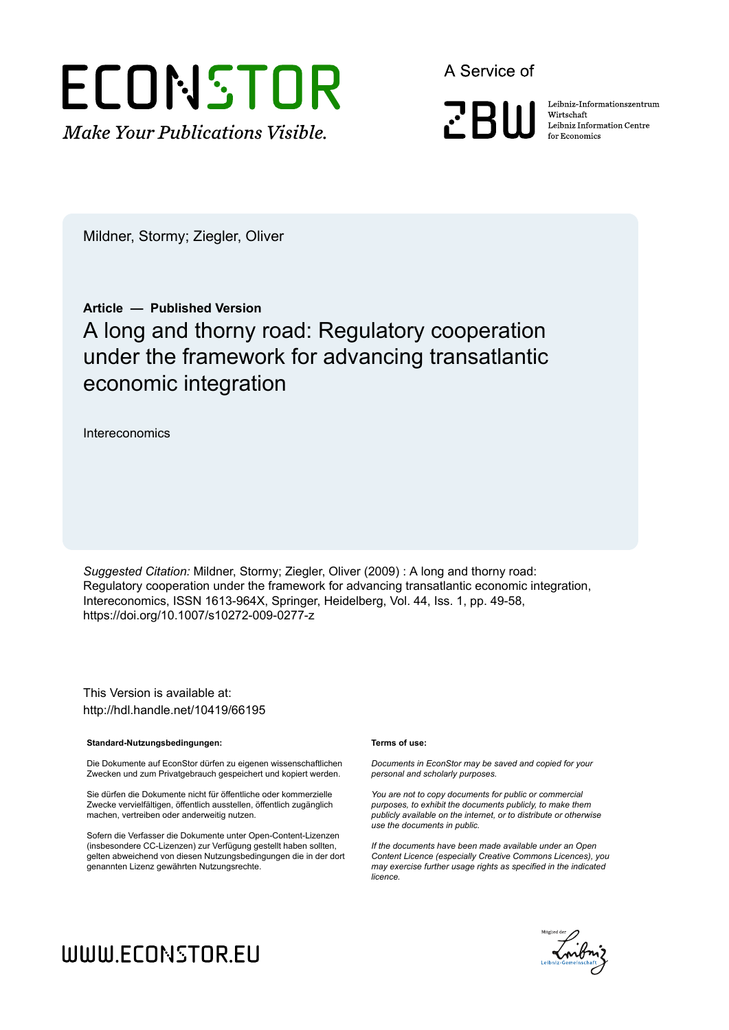# ECONSTOR **Make Your Publications Visible.**

A Service of

**PRIII** 

Leibniz-Informationszentrum Wirtschaft Leibniz Information Centre for Economics

Mildner, Stormy; Ziegler, Oliver

### **Article — Published Version** A long and thorny road: Regulatory cooperation under the framework for advancing transatlantic economic integration

Intereconomics

*Suggested Citation:* Mildner, Stormy; Ziegler, Oliver (2009) : A long and thorny road: Regulatory cooperation under the framework for advancing transatlantic economic integration, Intereconomics, ISSN 1613-964X, Springer, Heidelberg, Vol. 44, Iss. 1, pp. 49-58, https://doi.org/10.1007/s10272-009-0277-z

This Version is available at: http://hdl.handle.net/10419/66195

#### **Standard-Nutzungsbedingungen:**

Die Dokumente auf EconStor dürfen zu eigenen wissenschaftlichen Zwecken und zum Privatgebrauch gespeichert und kopiert werden.

Sie dürfen die Dokumente nicht für öffentliche oder kommerzielle Zwecke vervielfältigen, öffentlich ausstellen, öffentlich zugänglich machen, vertreiben oder anderweitig nutzen.

Sofern die Verfasser die Dokumente unter Open-Content-Lizenzen (insbesondere CC-Lizenzen) zur Verfügung gestellt haben sollten, gelten abweichend von diesen Nutzungsbedingungen die in der dort genannten Lizenz gewährten Nutzungsrechte.

#### **Terms of use:**

*Documents in EconStor may be saved and copied for your personal and scholarly purposes.*

*You are not to copy documents for public or commercial purposes, to exhibit the documents publicly, to make them publicly available on the internet, or to distribute or otherwise use the documents in public.*

*If the documents have been made available under an Open Content Licence (especially Creative Commons Licences), you may exercise further usage rights as specified in the indicated licence.*



## WWW.ECONSTOR.EU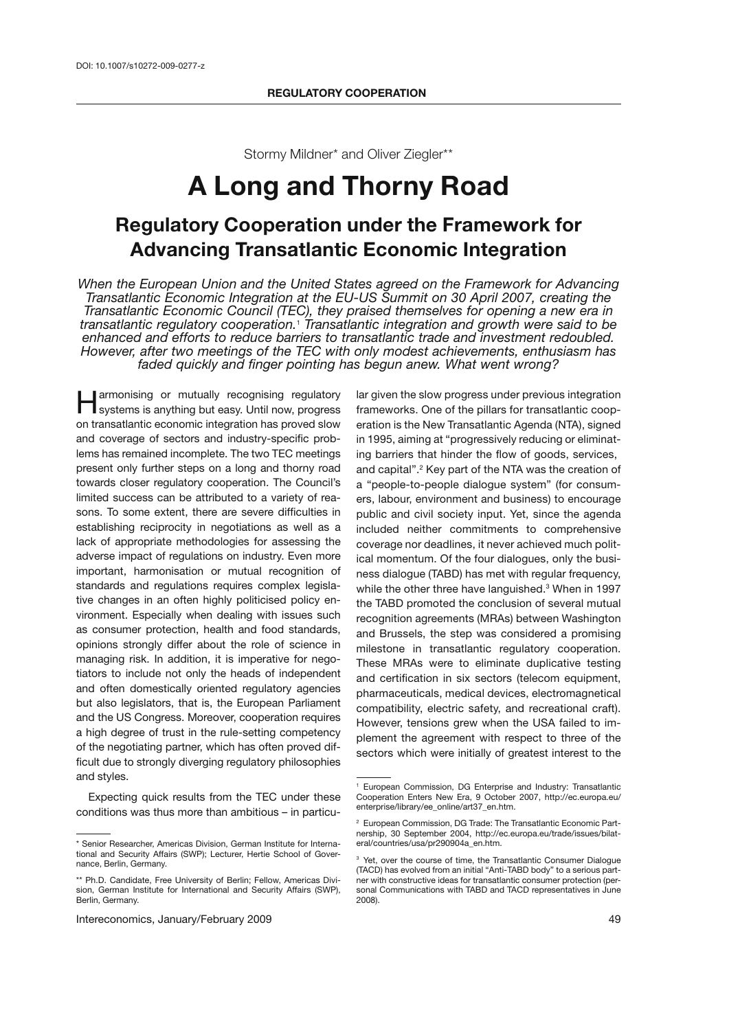Stormy Mildner\* and Oliver Ziegler\*\*

# **A Long and Thorny Road**

### **Regulatory Cooperation under the Framework for Advancing Transatlantic Economic Integration**

*When the European Union and the United States agreed on the Framework for Advancing Transatlantic Economic Integration at the EU-US Summit on 30 April 2007, creating the Transatlantic Economic Council (TEC), they praised themselves for opening a new era in*  transatlantic regulatory cooperation.<sup>1</sup> Transatlantic integration and growth were said to be *enhanced and efforts to reduce barriers to transatlantic trade and investment redoubled. However, after two meetings of the TEC with only modest achievements, enthusiasm has*  faded quickly and finger pointing has begun anew. What went wrong?

Harmonising or mutually recognising regulatory systems is anything but easy. Until now, progress on transatlantic economic integration has proved slow and coverage of sectors and industry-specific problems has remained incomplete. The two TEC meetings present only further steps on a long and thorny road towards closer regulatory cooperation. The Council's limited success can be attributed to a variety of reasons. To some extent, there are severe difficulties in establishing reciprocity in negotiations as well as a lack of appropriate methodologies for assessing the adverse impact of regulations on industry. Even more important, harmonisation or mutual recognition of standards and regulations requires complex legislative changes in an often highly politicised policy environment. Especially when dealing with issues such as consumer protection, health and food standards, opinions strongly differ about the role of science in managing risk. In addition, it is imperative for negotiators to include not only the heads of independent and often domestically oriented regulatory agencies but also legislators, that is, the European Parliament and the US Congress. Moreover, cooperation requires a high degree of trust in the rule-setting competency of the negotiating partner, which has often proved difficult due to strongly diverging regulatory philosophies and styles.

Expecting quick results from the TEC under these conditions was thus more than ambitious – in particu-

Intereconomics, January/February 2009

lar given the slow progress under previous integration frameworks. One of the pillars for transatlantic cooperation is the New Transatlantic Agenda (NTA), signed in 1995, aiming at "progressively reducing or eliminating barriers that hinder the flow of goods, services, and capital".<sup>2</sup> Key part of the NTA was the creation of a "people-to-people dialogue system" (for consumers, labour, environment and business) to encourage public and civil society input. Yet, since the agenda included neither commitments to comprehensive coverage nor deadlines, it never achieved much political momentum. Of the four dialogues, only the business dialogue (TABD) has met with regular frequency, while the other three have languished.<sup>3</sup> When in 1997 the TABD promoted the conclusion of several mutual recognition agreements (MRAs) between Washington and Brussels, the step was considered a promising milestone in transatlantic regulatory cooperation. These MRAs were to eliminate duplicative testing and certification in six sectors (telecom equipment, pharmaceuticals, medical devices, electromagnetical compatibility, electric safety, and recreational craft). However, tensions grew when the USA failed to implement the agreement with respect to three of the sectors which were initially of greatest interest to the

<sup>\*</sup> Senior Researcher, Americas Division, German Institute for International and Security Affairs (SWP); Lecturer, Hertie School of Governance, Berlin, Germany.

<sup>\*\*</sup> Ph.D. Candidate, Free University of Berlin; Fellow, Americas Division, German Institute for International and Security Affairs (SWP). Berlin, Germany.

<sup>1</sup> European Commission, DG Enterprise and Industry: Transatlantic Cooperation Enters New Era, 9 October 2007, http://ec.europa.eu/ enterprise/library/ee\_online/art37\_en.htm.

<sup>2</sup> European Commission, DG Trade: The Transatlantic Economic Partnership, 30 September 2004, http://ec.europa.eu/trade/issues/bilateral/countries/usa/pr290904a\_en.htm.

<sup>&</sup>lt;sup>3</sup> Yet, over the course of time, the Transatlantic Consumer Dialogue (TACD) has evolved from an initial "Anti-TABD body" to a serious partner with constructive ideas for transatlantic consumer protection (personal Communications with TABD and TACD representatives in June 2008).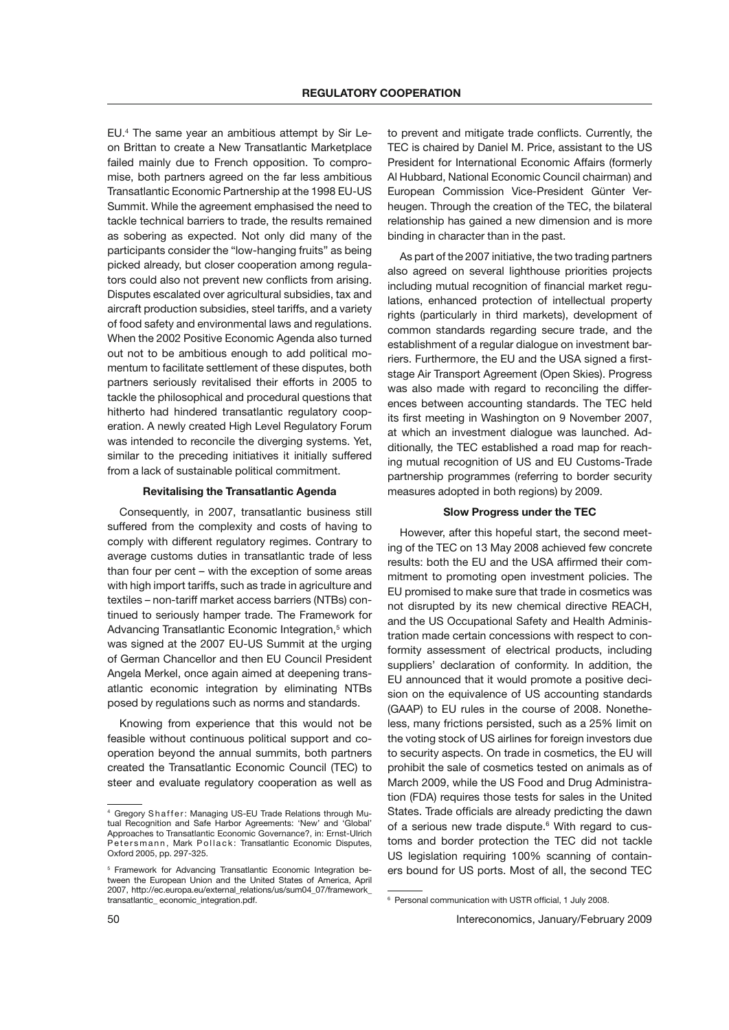EU.4 The same year an ambitious attempt by Sir Leon Brittan to create a New Transatlantic Marketplace failed mainly due to French opposition. To compromise, both partners agreed on the far less ambitious Transatlantic Economic Partnership at the 1998 EU-US Summit. While the agreement emphasised the need to tackle technical barriers to trade, the results remained as sobering as expected. Not only did many of the participants consider the "low-hanging fruits" as being picked already, but closer cooperation among regulators could also not prevent new conflicts from arising. Disputes escalated over agricultural subsidies, tax and aircraft production subsidies, steel tariffs, and a variety of food safety and environmental laws and regulations. When the 2002 Positive Economic Agenda also turned out not to be ambitious enough to add political momentum to facilitate settlement of these disputes, both partners seriously revitalised their efforts in 2005 to tackle the philosophical and procedural questions that hitherto had hindered transatlantic regulatory cooperation. A newly created High Level Regulatory Forum was intended to reconcile the diverging systems. Yet, similar to the preceding initiatives it initially suffered from a lack of sustainable political commitment.

#### **Revitalising the Transatlantic Agenda**

Consequently, in 2007, transatlantic business still suffered from the complexity and costs of having to comply with different regulatory regimes. Contrary to average customs duties in transatlantic trade of less than four per cent – with the exception of some areas with high import tariffs, such as trade in agriculture and textiles – non-tariff market access barriers (NTBs) continued to seriously hamper trade. The Framework for Advancing Transatlantic Economic Integration,<sup>5</sup> which was signed at the 2007 EU-US Summit at the urging of German Chancellor and then EU Council President Angela Merkel, once again aimed at deepening transatlantic economic integration by eliminating NTBs posed by regulations such as norms and standards.

Knowing from experience that this would not be feasible without continuous political support and cooperation beyond the annual summits, both partners created the Transatlantic Economic Council (TEC) to steer and evaluate regulatory cooperation as well as

to prevent and mitigate trade conflicts. Currently, the TEC is chaired by Daniel M. Price, assistant to the US President for International Economic Affairs (formerly Al Hubbard, National Economic Council chairman) and European Commission Vice-President Günter Verheugen. Through the creation of the TEC, the bilateral relationship has gained a new dimension and is more binding in character than in the past.

As part of the 2007 initiative, the two trading partners also agreed on several lighthouse priorities projects including mutual recognition of financial market regulations, enhanced protection of intellectual property rights (particularly in third markets), development of common standards regarding secure trade, and the establishment of a regular dialogue on investment barriers. Furthermore, the EU and the USA signed a firststage Air Transport Agreement (Open Skies). Progress was also made with regard to reconciling the differences between accounting standards. The TEC held its first meeting in Washington on 9 November 2007, at which an investment dialogue was launched. Additionally, the TEC established a road map for reaching mutual recognition of US and EU Customs-Trade partnership programmes (referring to border security measures adopted in both regions) by 2009.

#### **Slow Progress under the TEC**

However, after this hopeful start, the second meeting of the TEC on 13 May 2008 achieved few concrete results: both the EU and the USA affirmed their commitment to promoting open investment policies. The EU promised to make sure that trade in cosmetics was not disrupted by its new chemical directive REACH, and the US Occupational Safety and Health Administration made certain concessions with respect to conformity assessment of electrical products, including suppliers' declaration of conformity. In addition, the EU announced that it would promote a positive decision on the equivalence of US accounting standards (GAAP) to EU rules in the course of 2008. Nonetheless, many frictions persisted, such as a 25% limit on the voting stock of US airlines for foreign investors due to security aspects. On trade in cosmetics, the EU will prohibit the sale of cosmetics tested on animals as of March 2009, while the US Food and Drug Administration (FDA) requires those tests for sales in the United States. Trade officials are already predicting the dawn of a serious new trade dispute.<sup>6</sup> With regard to customs and border protection the TEC did not tackle US legislation requiring 100% scanning of containers bound for US ports. Most of all, the second TEC

<sup>&</sup>lt;sup>4</sup> Gregory Shaffer: Managing US-EU Trade Relations through Mutual Recognition and Safe Harbor Agreements: 'New' and 'Global' Approaches to Transatlantic Economic Governance?, in: Ernst-Ulrich Petersmann, Mark Pollack: Transatlantic Economic Disputes, Oxford 2005, pp. 297-325.

<sup>5</sup> Framework for Advancing Transatlantic Economic Integration between the European Union and the United States of America, April 2007, http://ec.europa.eu/external\_relations/us/sum04\_07/framework\_ transatlantic\_ economic\_integration.pdf.

<sup>&</sup>lt;sup>6</sup> Personal communication with USTR official, 1 July 2008.

<sup>50</sup> Intereconomics, January/February 2009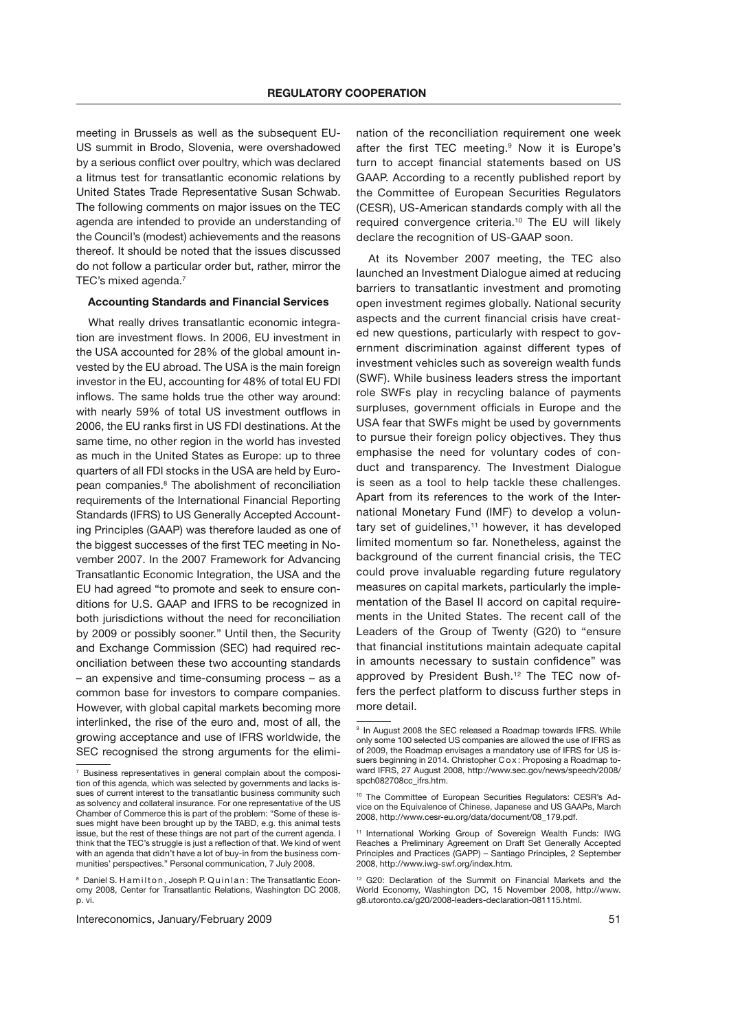meeting in Brussels as well as the subsequent EU-US summit in Brodo, Slovenia, were overshadowed by a serious conflict over poultry, which was declared a litmus test for transatlantic economic relations by United States Trade Representative Susan Schwab. The following comments on major issues on the TEC agenda are intended to provide an understanding of the Council's (modest) achievements and the reasons thereof. It should be noted that the issues discussed do not follow a particular order but, rather, mirror the TEC's mixed agenda.<sup>7</sup>

#### **Accounting Standards and Financial Services**

What really drives transatlantic economic integration are investment flows. In 2006, EU investment in the USA accounted for 28% of the global amount invested by the EU abroad. The USA is the main foreign investor in the EU, accounting for 48% of total EU FDI inflows. The same holds true the other way around: with nearly 59% of total US investment outflows in 2006, the EU ranks first in US FDI destinations. At the same time, no other region in the world has invested as much in the United States as Europe: up to three quarters of all FDI stocks in the USA are held by European companies.8 The abolishment of reconciliation requirements of the International Financial Reporting Standards (IFRS) to US Generally Accepted Accounting Principles (GAAP) was therefore lauded as one of the biggest successes of the first TEC meeting in November 2007. In the 2007 Framework for Advancing Transatlantic Economic Integration, the USA and the EU had agreed "to promote and seek to ensure conditions for U.S. GAAP and IFRS to be recognized in both jurisdictions without the need for reconciliation by 2009 or possibly sooner." Until then, the Security and Exchange Commission (SEC) had required reconciliation between these two accounting standards – an expensive and time-consuming process – as a common base for investors to compare companies. However, with global capital markets becoming more interlinked, the rise of the euro and, most of all, the growing acceptance and use of IFRS worldwide, the SEC recognised the strong arguments for the elimi-

Intereconomics, January/February 2009

nation of the reconciliation requirement one week after the first TEC meeting.<sup>9</sup> Now it is Europe's turn to accept financial statements based on US GAAP. According to a recently published report by the Committee of European Securities Regulators (CESR), US-American standards comply with all the required convergence criteria.10 The EU will likely declare the recognition of US-GAAP soon.

At its November 2007 meeting, the TEC also launched an Investment Dialogue aimed at reducing barriers to transatlantic investment and promoting open investment regimes globally. National security aspects and the current financial crisis have created new questions, particularly with respect to government discrimination against different types of investment vehicles such as sovereign wealth funds (SWF). While business leaders stress the important role SWFs play in recycling balance of payments surpluses, government officials in Europe and the USA fear that SWFs might be used by governments to pursue their foreign policy objectives. They thus emphasise the need for voluntary codes of conduct and transparency. The Investment Dialogue is seen as a tool to help tackle these challenges. Apart from its references to the work of the International Monetary Fund (IMF) to develop a voluntary set of guidelines, $11$  however, it has developed limited momentum so far. Nonetheless, against the background of the current financial crisis, the TEC could prove invaluable regarding future regulatory measures on capital markets, particularly the implementation of the Basel II accord on capital requirements in the United States. The recent call of the Leaders of the Group of Twenty (G20) to "ensure that financial institutions maintain adequate capital in amounts necessary to sustain confidence" was approved by President Bush.12 The TEC now offers the perfect platform to discuss further steps in more detail.

<sup>7</sup> Business representatives in general complain about the composition of this agenda, which was selected by governments and lacks issues of current interest to the transatlantic business community such as solvency and collateral insurance. For one representative of the US Chamber of Commerce this is part of the problem: "Some of these issues might have been brought up by the TABD, e.g. this animal tests issue, but the rest of these things are not part of the current agenda. I think that the TEC's struggle is just a reflection of that. We kind of went with an agenda that didn't have a lot of buy-in from the business communities' perspectives." Personal communication, 7 July 2008.

<sup>&</sup>lt;sup>8</sup> Daniel S. Hamilton, Joseph P. Quinlan: The Transatlantic Economy 2008, Center for Transatlantic Relations, Washington DC 2008, p. vi.

<sup>9</sup> In August 2008 the SEC released a Roadmap towards IFRS. While only some 100 selected US companies are allowed the use of IFRS as of 2009, the Roadmap envisages a mandatory use of IFRS for US issuers beginning in 2014. Christopher C o x : Proposing a Roadmap toward IFRS, 27 August 2008, http://www.sec.gov/news/speech/2008/ spch082708cc\_ifrs.htm.

<sup>&</sup>lt;sup>10</sup> The Committee of European Securities Regulators: CESR's Advice on the Equivalence of Chinese, Japanese and US GAAPs, March 2008, http://www.cesr-eu.org/data/document/08\_179.pdf.

<sup>11</sup> International Working Group of Sovereign Wealth Funds: IWG Reaches a Preliminary Agreement on Draft Set Generally Accepted Principles and Practices (GAPP) – Santiago Principles, 2 September 2008, http://www.iwg-swf.org/index.htm.

<sup>12</sup> G20: Declaration of the Summit on Financial Markets and the World Economy, Washington DC, 15 November 2008, http://www. g8.utoronto.ca/g20/2008-leaders-declaration-081115.html.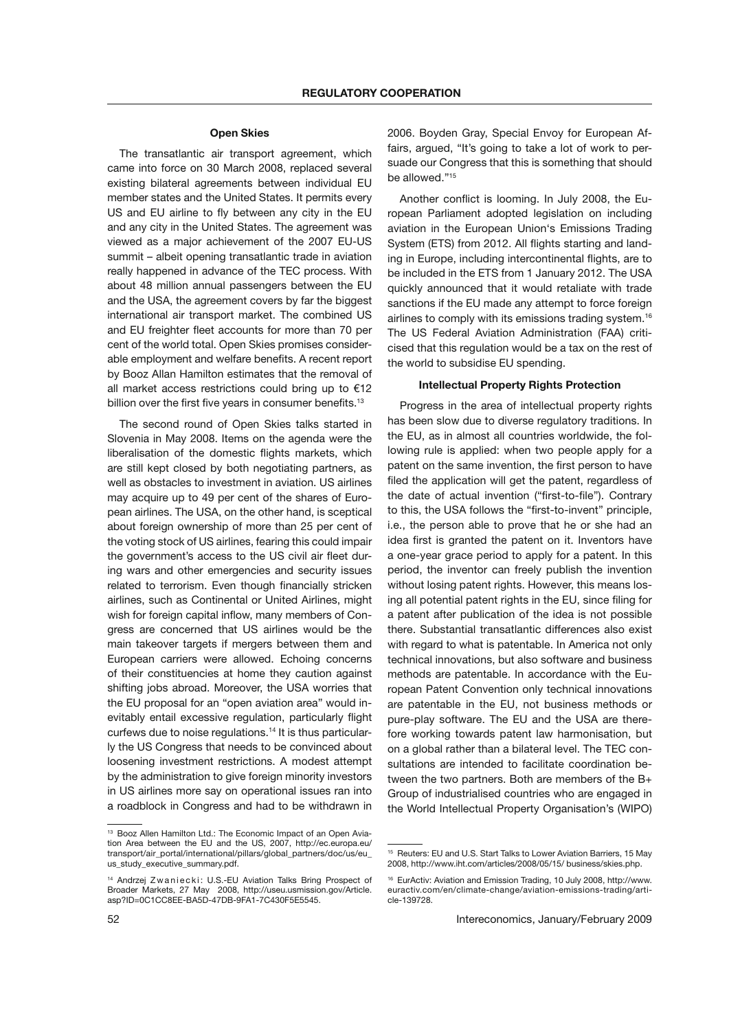#### **Open Skies**

The transatlantic air transport agreement, which came into force on 30 March 2008, replaced several existing bilateral agreements between individual EU member states and the United States. It permits every US and EU airline to fly between any city in the EU and any city in the United States. The agreement was viewed as a major achievement of the 2007 EU-US summit – albeit opening transatlantic trade in aviation really happened in advance of the TEC process. With about 48 million annual passengers between the EU and the USA, the agreement covers by far the biggest international air transport market. The combined US and EU freighter fleet accounts for more than 70 per cent of the world total. Open Skies promises considerable employment and welfare benefits. A recent report by Booz Allan Hamilton estimates that the removal of all market access restrictions could bring up to €12 billion over the first five years in consumer benefits.<sup>13</sup>

The second round of Open Skies talks started in Slovenia in May 2008. Items on the agenda were the liberalisation of the domestic flights markets, which are still kept closed by both negotiating partners, as well as obstacles to investment in aviation. US airlines may acquire up to 49 per cent of the shares of European airlines. The USA, on the other hand, is sceptical about foreign ownership of more than 25 per cent of the voting stock of US airlines, fearing this could impair the government's access to the US civil air fleet during wars and other emergencies and security issues related to terrorism. Even though financially stricken airlines, such as Continental or United Airlines, might wish for foreign capital inflow, many members of Congress are concerned that US airlines would be the main takeover targets if mergers between them and European carriers were allowed. Echoing concerns of their constituencies at home they caution against shifting jobs abroad. Moreover, the USA worries that the EU proposal for an "open aviation area" would inevitably entail excessive regulation, particularly flight curfews due to noise regulations.14 It is thus particularly the US Congress that needs to be convinced about loosening investment restrictions. A modest attempt by the administration to give foreign minority investors in US airlines more say on operational issues ran into a roadblock in Congress and had to be withdrawn in

2006. Boyden Gray, Special Envoy for European Affairs, argued, "It's going to take a lot of work to persuade our Congress that this is something that should be allowed."15

Another conflict is looming. In July 2008, the European Parliament adopted legislation on including aviation in the European Union's Emissions Trading System (ETS) from 2012. All flights starting and landing in Europe, including intercontinental flights, are to be included in the ETS from 1 January 2012. The USA quickly announced that it would retaliate with trade sanctions if the EU made any attempt to force foreign airlines to comply with its emissions trading system.<sup>16</sup> The US Federal Aviation Administration (FAA) criticised that this regulation would be a tax on the rest of the world to subsidise EU spending.

#### **Intellectual Property Rights Protection**

Progress in the area of intellectual property rights has been slow due to diverse regulatory traditions. In the EU, as in almost all countries worldwide, the following rule is applied: when two people apply for a patent on the same invention, the first person to have filed the application will get the patent, regardless of the date of actual invention ("first-to-file"). Contrary to this, the USA follows the "first-to-invent" principle, i.e., the person able to prove that he or she had an idea first is granted the patent on it. Inventors have a one-year grace period to apply for a patent. In this period, the inventor can freely publish the invention without losing patent rights. However, this means losing all potential patent rights in the EU, since filing for a patent after publication of the idea is not possible there. Substantial transatlantic differences also exist with regard to what is patentable. In America not only technical innovations, but also software and business methods are patentable. In accordance with the European Patent Convention only technical innovations are patentable in the EU, not business methods or pure-play software. The EU and the USA are therefore working towards patent law harmonisation, but on a global rather than a bilateral level. The TEC consultations are intended to facilitate coordination between the two partners. Both are members of the B+ Group of industrialised countries who are engaged in the World Intellectual Property Organisation's (WIPO)

<sup>13</sup> Booz Allen Hamilton Ltd.: The Economic Impact of an Open Aviation Area between the EU and the US, 2007, http://ec.europa.eu/ transport/air\_portal/international/pillars/global\_partners/doc/us/eu\_ us\_study\_executive\_summary.pdf.

<sup>&</sup>lt;sup>14</sup> Andrzej Z w a n i e c k i : U.S.-EU Aviation Talks Bring Prospect of Broader Markets, 27 May 2008, http://useu.usmission.gov/Article. asp?ID=0C1CC8EE-BA5D-47DB-9FA1-7C430F5E5545.

<sup>15</sup> Reuters: EU and U.S. Start Talks to Lower Aviation Barriers, 15 May 2008, http://www.iht.com/articles/2008/05/15/ business/skies.php.

<sup>16</sup> EurActiv: Aviation and Emission Trading, 10 July 2008, http://www. euractiv.com/en/climate-change/aviation-emissions-trading/article-139728.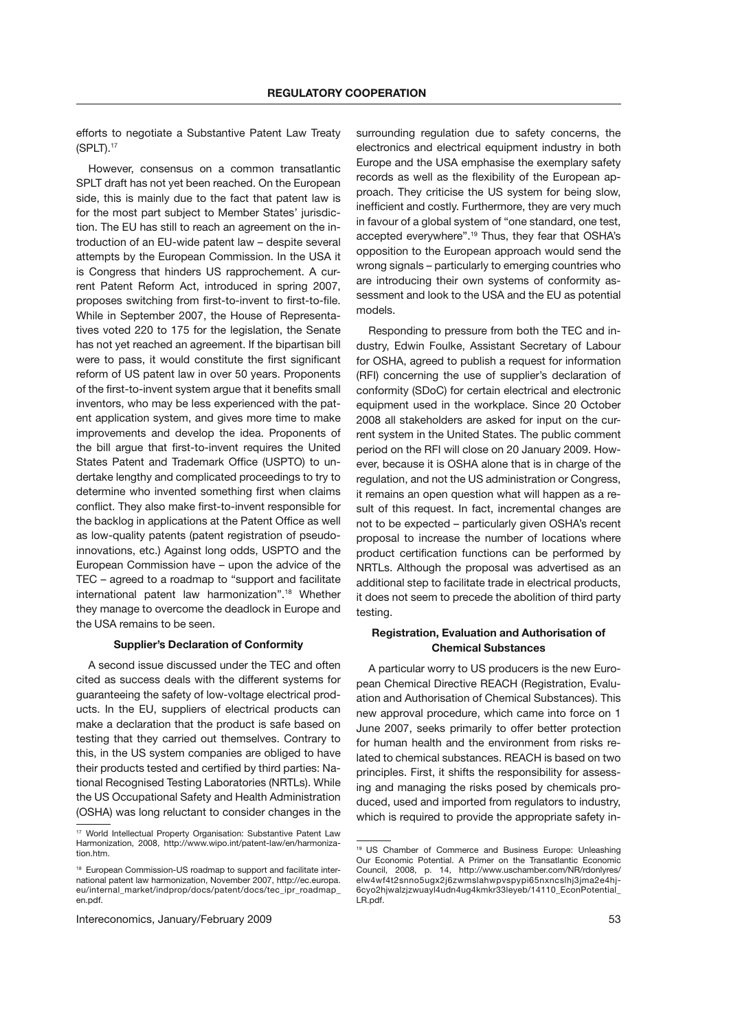efforts to negotiate a Substantive Patent Law Treaty (SPLT).17

However, consensus on a common transatlantic SPLT draft has not yet been reached. On the European side, this is mainly due to the fact that patent law is for the most part subject to Member States' jurisdiction. The EU has still to reach an agreement on the introduction of an EU-wide patent law – despite several attempts by the European Commission. In the USA it is Congress that hinders US rapprochement. A current Patent Reform Act, introduced in spring 2007, proposes switching from first-to-invent to first-to-file. While in September 2007, the House of Representatives voted 220 to 175 for the legislation, the Senate has not yet reached an agreement. If the bipartisan bill were to pass, it would constitute the first significant reform of US patent law in over 50 years. Proponents of the first-to-invent system arque that it benefits small inventors, who may be less experienced with the patent application system, and gives more time to make improvements and develop the idea. Proponents of the bill argue that first-to-invent requires the United States Patent and Trademark Office (USPTO) to undertake lengthy and complicated proceedings to try to determine who invented something first when claims conflict. They also make first-to-invent responsible for the backlog in applications at the Patent Office as well as low-quality patents (patent registration of pseudoinnovations, etc.) Against long odds, USPTO and the European Commission have – upon the advice of the TEC – agreed to a roadmap to "support and facilitate international patent law harmonization".18 Whether they manage to overcome the deadlock in Europe and the USA remains to be seen.

#### **Supplier's Declaration of Conformity**

A second issue discussed under the TEC and often cited as success deals with the different systems for guaranteeing the safety of low-voltage electrical products. In the EU, suppliers of electrical products can make a declaration that the product is safe based on testing that they carried out themselves. Contrary to this, in the US system companies are obliged to have their products tested and certified by third parties: National Recognised Testing Laboratories (NRTLs). While the US Occupational Safety and Health Administration (OSHA) was long reluctant to consider changes in the

Intereconomics, January/February 2009

surrounding regulation due to safety concerns, the electronics and electrical equipment industry in both Europe and the USA emphasise the exemplary safety records as well as the flexibility of the European approach. They criticise the US system for being slow, inefficient and costly. Furthermore, they are very much in favour of a global system of "one standard, one test, accepted everywhere".19 Thus, they fear that OSHA's opposition to the European approach would send the wrong signals – particularly to emerging countries who are introducing their own systems of conformity assessment and look to the USA and the EU as potential models.

Responding to pressure from both the TEC and industry, Edwin Foulke, Assistant Secretary of Labour for OSHA, agreed to publish a request for information (RFI) concerning the use of supplier's declaration of conformity (SDoC) for certain electrical and electronic equipment used in the workplace. Since 20 October 2008 all stakeholders are asked for input on the current system in the United States. The public comment period on the RFI will close on 20 January 2009. However, because it is OSHA alone that is in charge of the regulation, and not the US administration or Congress, it remains an open question what will happen as a result of this request. In fact, incremental changes are not to be expected – particularly given OSHA's recent proposal to increase the number of locations where product certification functions can be performed by NRTLs. Although the proposal was advertised as an additional step to facilitate trade in electrical products, it does not seem to precede the abolition of third party testing.

#### **Registration, Evaluation and Authorisation of Chemical Substances**

A particular worry to US producers is the new European Chemical Directive REACH (Registration, Evaluation and Authorisation of Chemical Substances). This new approval procedure, which came into force on 1 June 2007, seeks primarily to offer better protection for human health and the environment from risks related to chemical substances. REACH is based on two principles. First, it shifts the responsibility for assessing and managing the risks posed by chemicals produced, used and imported from regulators to industry, which is required to provide the appropriate safety in-

<sup>&</sup>lt;sup>17</sup> World Intellectual Property Organisation: Substantive Patent Law Harmonization, 2008, http://www.wipo.int/patent-law/en/harmonization.htm.

<sup>18</sup> European Commission-US roadmap to support and facilitate international patent law harmonization, November 2007, http://ec.europa. eu/internal\_market/indprop/docs/patent/docs/tec\_ipr\_roadmap\_ en.pdf.

<sup>19</sup> US Chamber of Commerce and Business Europe: Unleashing Our Economic Potential. A Primer on the Transatlantic Economic Council, 2008, p. 14, http://www.uschamber.com/NR/rdonlyres/ elw4wf4t2snno5ugx2j6zwmslahwpvspypi65nxncslhj3jma2e4hj-6cyo2hjwalzjzwuayl4udn4ug4kmkr33leyeb/14110\_EconPotential\_ LR.pdf.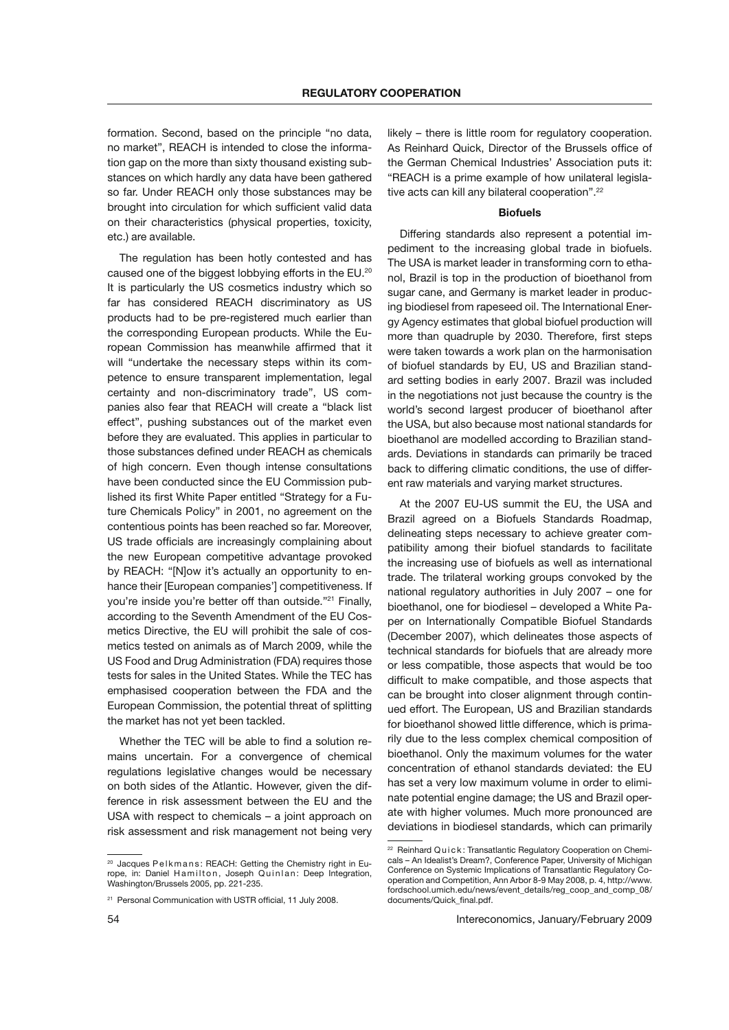formation. Second, based on the principle "no data, no market", REACH is intended to close the information gap on the more than sixty thousand existing substances on which hardly any data have been gathered so far. Under REACH only those substances may be brought into circulation for which sufficient valid data on their characteristics (physical properties, toxicity, etc.) are available.

The regulation has been hotly contested and has caused one of the biggest lobbying efforts in the EU.20 It is particularly the US cosmetics industry which so far has considered REACH discriminatory as US products had to be pre-registered much earlier than the corresponding European products. While the European Commission has meanwhile affirmed that it will "undertake the necessary steps within its competence to ensure transparent implementation, legal certainty and non-discriminatory trade", US companies also fear that REACH will create a "black list effect", pushing substances out of the market even before they are evaluated. This applies in particular to those substances defined under REACH as chemicals of high concern. Even though intense consultations have been conducted since the EU Commission published its first White Paper entitled "Strategy for a Future Chemicals Policy" in 2001, no agreement on the contentious points has been reached so far. Moreover, US trade officials are increasingly complaining about the new European competitive advantage provoked by REACH: "[N]ow it's actually an opportunity to enhance their [European companies'] competitiveness. If you're inside you're better off than outside."<sup>21</sup> Finally, according to the Seventh Amendment of the EU Cosmetics Directive, the EU will prohibit the sale of cosmetics tested on animals as of March 2009, while the US Food and Drug Administration (FDA) requires those tests for sales in the United States. While the TEC has emphasised cooperation between the FDA and the European Commission, the potential threat of splitting the market has not yet been tackled.

Whether the TEC will be able to find a solution remains uncertain. For a convergence of chemical regulations legislative changes would be necessary on both sides of the Atlantic. However, given the difference in risk assessment between the EU and the USA with respect to chemicals – a joint approach on risk assessment and risk management not being very

likely – there is little room for regulatory cooperation. As Reinhard Quick, Director of the Brussels office of the German Chemical Industries' Association puts it: "REACH is a prime example of how unilateral legislative acts can kill any bilateral cooperation".22

#### **Biofuels**

Differing standards also represent a potential impediment to the increasing global trade in biofuels. The USA is market leader in transforming corn to ethanol, Brazil is top in the production of bioethanol from sugar cane, and Germany is market leader in producing biodiesel from rapeseed oil. The International Energy Agency estimates that global biofuel production will more than quadruple by 2030. Therefore, first steps were taken towards a work plan on the harmonisation of biofuel standards by EU, US and Brazilian standard setting bodies in early 2007. Brazil was included in the negotiations not just because the country is the world's second largest producer of bioethanol after the USA, but also because most national standards for bioethanol are modelled according to Brazilian standards. Deviations in standards can primarily be traced back to differing climatic conditions, the use of different raw materials and varying market structures.

At the 2007 EU-US summit the EU, the USA and Brazil agreed on a Biofuels Standards Roadmap, delineating steps necessary to achieve greater compatibility among their biofuel standards to facilitate the increasing use of biofuels as well as international trade. The trilateral working groups convoked by the national regulatory authorities in July 2007 – one for bioethanol, one for biodiesel – developed a White Paper on Internationally Compatible Biofuel Standards (December 2007), which delineates those aspects of technical standards for biofuels that are already more or less compatible, those aspects that would be too difficult to make compatible, and those aspects that can be brought into closer alignment through continued effort. The European, US and Brazilian standards for bioethanol showed little difference, which is primarily due to the less complex chemical composition of bioethanol. Only the maximum volumes for the water concentration of ethanol standards deviated: the EU has set a very low maximum volume in order to eliminate potential engine damage; the US and Brazil operate with higher volumes. Much more pronounced are deviations in biodiesel standards, which can primarily

<sup>&</sup>lt;sup>20</sup> Jacques Pelkmans: REACH: Getting the Chemistry right in Europe, in: Daniel Hamilton, Joseph Quinlan: Deep Integration, Washington/Brussels 2005, pp. 221-235.

<sup>&</sup>lt;sup>21</sup> Personal Communication with USTR official, 11 July 2008.

<sup>&</sup>lt;sup>22</sup> Reinhard Quick: Transatlantic Regulatory Cooperation on Chemicals – An Idealist's Dream?, Conference Paper, University of Michigan Conference on Systemic Implications of Transatlantic Regulatory Cooperation and Competition, Ann Arbor 8-9 May 2008, p. 4, http://www. fordschool.umich.edu/news/event\_details/reg\_coop\_and\_comp\_08/ documents/Quick\_final.pdf.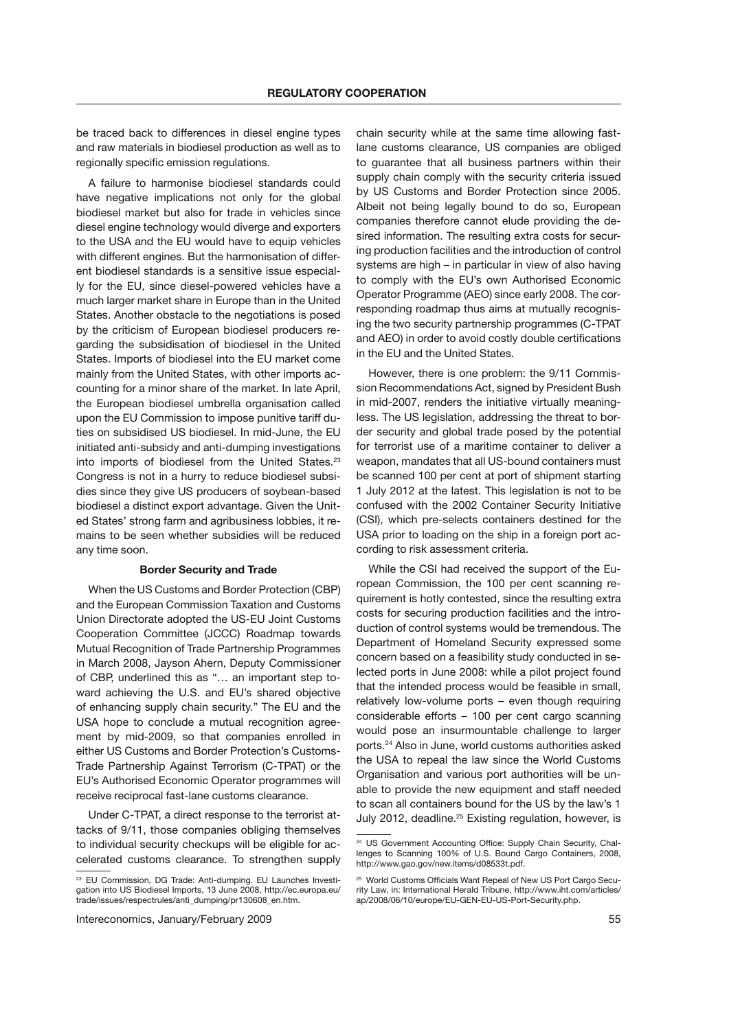be traced back to differences in diesel engine types and raw materials in biodiesel production as well as to regionally specific emission regulations.

A failure to harmonise biodiesel standards could have negative implications not only for the global biodiesel market but also for trade in vehicles since diesel engine technology would diverge and exporters to the USA and the EU would have to equip vehicles with different engines. But the harmonisation of different biodiesel standards is a sensitive issue especially for the EU, since diesel-powered vehicles have a much larger market share in Europe than in the United States. Another obstacle to the negotiations is posed by the criticism of European biodiesel producers regarding the subsidisation of biodiesel in the United States. Imports of biodiesel into the EU market come mainly from the United States, with other imports accounting for a minor share of the market. In late April, the European biodiesel umbrella organisation called upon the EU Commission to impose punitive tariff duties on subsidised US biodiesel. In mid-June, the EU initiated anti-subsidy and anti-dumping investigations into imports of biodiesel from the United States.<sup>23</sup> Congress is not in a hurry to reduce biodiesel subsidies since they give US producers of soybean-based biodiesel a distinct export advantage. Given the United States' strong farm and agribusiness lobbies, it remains to be seen whether subsidies will be reduced any time soon.

#### **Border Security and Trade**

When the US Customs and Border Protection (CBP) and the European Commission Taxation and Customs Union Directorate adopted the US-EU Joint Customs Cooperation Committee (JCCC) Roadmap towards Mutual Recognition of Trade Partnership Programmes in March 2008, Jayson Ahern, Deputy Commissioner of CBP, underlined this as "… an important step toward achieving the U.S. and EU's shared objective of enhancing supply chain security." The EU and the USA hope to conclude a mutual recognition agreement by mid-2009, so that companies enrolled in either US Customs and Border Protection's Customs-Trade Partnership Against Terrorism (C-TPAT) or the EU's Authorised Economic Operator programmes will receive reciprocal fast-lane customs clearance.

Under C-TPAT, a direct response to the terrorist attacks of 9/11, those companies obliging themselves to individual security checkups will be eligible for accelerated customs clearance. To strengthen supply

Intereconomics, January/February 2009

chain security while at the same time allowing fastlane customs clearance, US companies are obliged to guarantee that all business partners within their supply chain comply with the security criteria issued by US Customs and Border Protection since 2005. Albeit not being legally bound to do so, European companies therefore cannot elude providing the desired information. The resulting extra costs for securing production facilities and the introduction of control systems are high – in particular in view of also having to comply with the EU's own Authorised Economic Operator Programme (AEO) since early 2008. The corresponding roadmap thus aims at mutually recognising the two security partnership programmes (C-TPAT and AEO) in order to avoid costly double certifications in the EU and the United States.

However, there is one problem: the 9/11 Commission Recommendations Act, signed by President Bush in mid-2007, renders the initiative virtually meaningless. The US legislation, addressing the threat to border security and global trade posed by the potential for terrorist use of a maritime container to deliver a weapon, mandates that all US-bound containers must be scanned 100 per cent at port of shipment starting 1 July 2012 at the latest. This legislation is not to be confused with the 2002 Container Security Initiative (CSI), which pre-selects containers destined for the USA prior to loading on the ship in a foreign port according to risk assessment criteria.

While the CSI had received the support of the European Commission, the 100 per cent scanning requirement is hotly contested, since the resulting extra costs for securing production facilities and the introduction of control systems would be tremendous. The Department of Homeland Security expressed some concern based on a feasibility study conducted in selected ports in June 2008: while a pilot project found that the intended process would be feasible in small, relatively low-volume ports – even though requiring considerable efforts – 100 per cent cargo scanning would pose an insurmountable challenge to larger ports.24 Also in June, world customs authorities asked the USA to repeal the law since the World Customs Organisation and various port authorities will be unable to provide the new equipment and staff needed to scan all containers bound for the US by the law's 1 July 2012, deadline.<sup>25</sup> Existing regulation, however, is

<sup>23</sup> EU Commission, DG Trade: Anti-dumping. EU Launches Investigation into US Biodiesel Imports, 13 June 2008, http://ec.europa.eu/ trade/issues/respectrules/anti\_dumping/pr130608\_en.htm.

<sup>&</sup>lt;sup>24</sup> US Government Accounting Office: Supply Chain Security, Challenges to Scanning 100% of U.S. Bound Cargo Containers, 2008, http://www.gao.gov/new.items/d08533t.pdf.

<sup>&</sup>lt;sup>25</sup> World Customs Officials Want Repeal of New US Port Cargo Security Law, in: International Herald Tribune, http://www.iht.com/articles/ ap/2008/06/10/europe/EU-GEN-EU-US-Port-Security.php.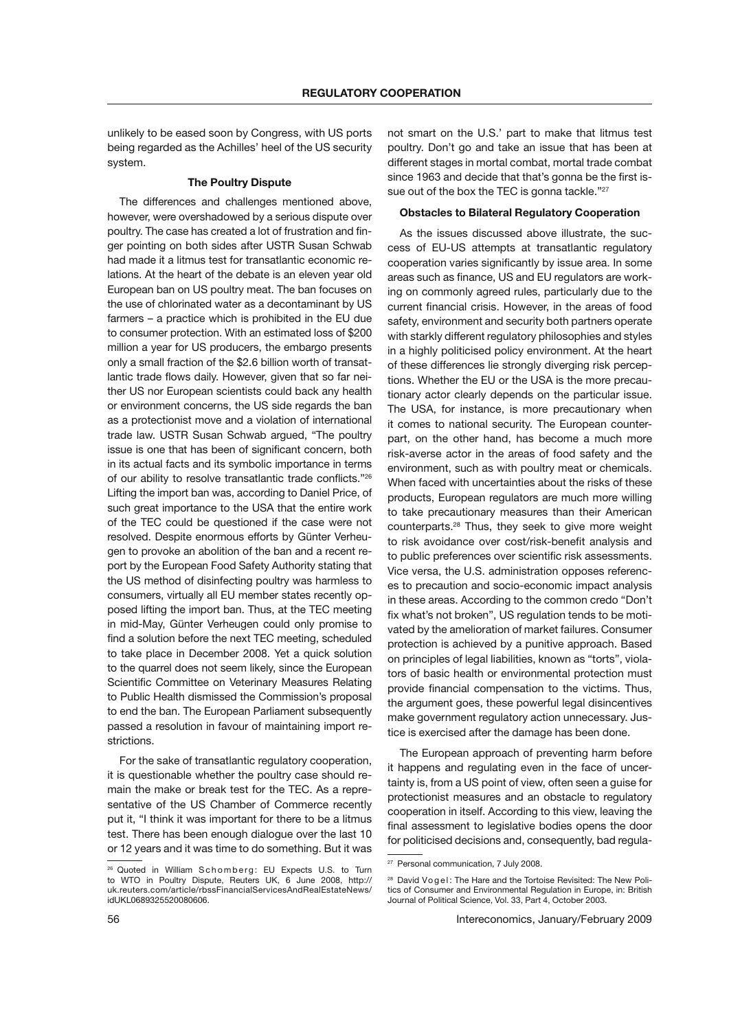unlikely to be eased soon by Congress, with US ports being regarded as the Achilles' heel of the US security system.

#### **The Poultry Dispute**

The differences and challenges mentioned above, however, were overshadowed by a serious dispute over poultry. The case has created a lot of frustration and finger pointing on both sides after USTR Susan Schwab had made it a litmus test for transatlantic economic relations. At the heart of the debate is an eleven year old European ban on US poultry meat. The ban focuses on the use of chlorinated water as a decontaminant by US farmers – a practice which is prohibited in the EU due to consumer protection. With an estimated loss of \$200 million a year for US producers, the embargo presents only a small fraction of the \$2.6 billion worth of transatlantic trade flows daily. However, given that so far neither US nor European scientists could back any health or environment concerns, the US side regards the ban as a protectionist move and a violation of international trade law. USTR Susan Schwab argued, "The poultry issue is one that has been of significant concern, both in its actual facts and its symbolic importance in terms of our ability to resolve transatlantic trade conflicts."26 Lifting the import ban was, according to Daniel Price, of such great importance to the USA that the entire work of the TEC could be questioned if the case were not resolved. Despite enormous efforts by Günter Verheugen to provoke an abolition of the ban and a recent report by the European Food Safety Authority stating that the US method of disinfecting poultry was harmless to consumers, virtually all EU member states recently opposed lifting the import ban. Thus, at the TEC meeting in mid-May, Günter Verheugen could only promise to find a solution before the next TEC meeting, scheduled to take place in December 2008. Yet a quick solution to the quarrel does not seem likely, since the European Scientific Committee on Veterinary Measures Relating to Public Health dismissed the Commission's proposal to end the ban. The European Parliament subsequently passed a resolution in favour of maintaining import restrictions.

For the sake of transatlantic regulatory cooperation, it is questionable whether the poultry case should remain the make or break test for the TEC. As a representative of the US Chamber of Commerce recently put it, "I think it was important for there to be a litmus test. There has been enough dialogue over the last 10 or 12 years and it was time to do something. But it was not smart on the U.S.' part to make that litmus test poultry. Don't go and take an issue that has been at different stages in mortal combat, mortal trade combat since 1963 and decide that that's gonna be the first issue out of the box the TEC is gonna tackle."<sup>27</sup>

#### **Obstacles to Bilateral Regulatory Cooperation**

As the issues discussed above illustrate, the success of EU-US attempts at transatlantic regulatory cooperation varies significantly by issue area. In some areas such as finance, US and EU regulators are working on commonly agreed rules, particularly due to the current financial crisis. However, in the areas of food safety, environment and security both partners operate with starkly different regulatory philosophies and styles in a highly politicised policy environment. At the heart of these differences lie strongly diverging risk perceptions. Whether the EU or the USA is the more precautionary actor clearly depends on the particular issue. The USA, for instance, is more precautionary when it comes to national security. The European counterpart, on the other hand, has become a much more risk-averse actor in the areas of food safety and the environment, such as with poultry meat or chemicals. When faced with uncertainties about the risks of these products, European regulators are much more willing to take precautionary measures than their American counterparts.28 Thus, they seek to give more weight to risk avoidance over cost/risk-benefit analysis and to public preferences over scientific risk assessments. Vice versa, the U.S. administration opposes references to precaution and socio-economic impact analysis in these areas. According to the common credo "Don't fix what's not broken", US regulation tends to be motivated by the amelioration of market failures. Consumer protection is achieved by a punitive approach. Based on principles of legal liabilities, known as "torts", violators of basic health or environmental protection must provide financial compensation to the victims. Thus, the argument goes, these powerful legal disincentives make government regulatory action unnecessary. Justice is exercised after the damage has been done.

The European approach of preventing harm before it happens and regulating even in the face of uncertainty is, from a US point of view, often seen a guise for protectionist measures and an obstacle to regulatory cooperation in itself. According to this view, leaving the final assessment to legislative bodies opens the door for politicised decisions and, consequently, bad regula-

<sup>&</sup>lt;sup>26</sup> Quoted in William Schomberg: EU Expects U.S. to Turn to WTO in Poultry Dispute, Reuters UK, 6 June 2008, http:// uk.reuters.com/article/rbssFinancialServicesAndRealEstateNews/ idUKL0689325520080606.

<sup>27</sup> Personal communication, 7 July 2008.

<sup>&</sup>lt;sup>28</sup> David Vonel <sup>+</sup> The Hare and the Tortoise Revisited: The New Politics of Consumer and Environmental Regulation in Europe, in: British Journal of Political Science, Vol. 33, Part 4, October 2003.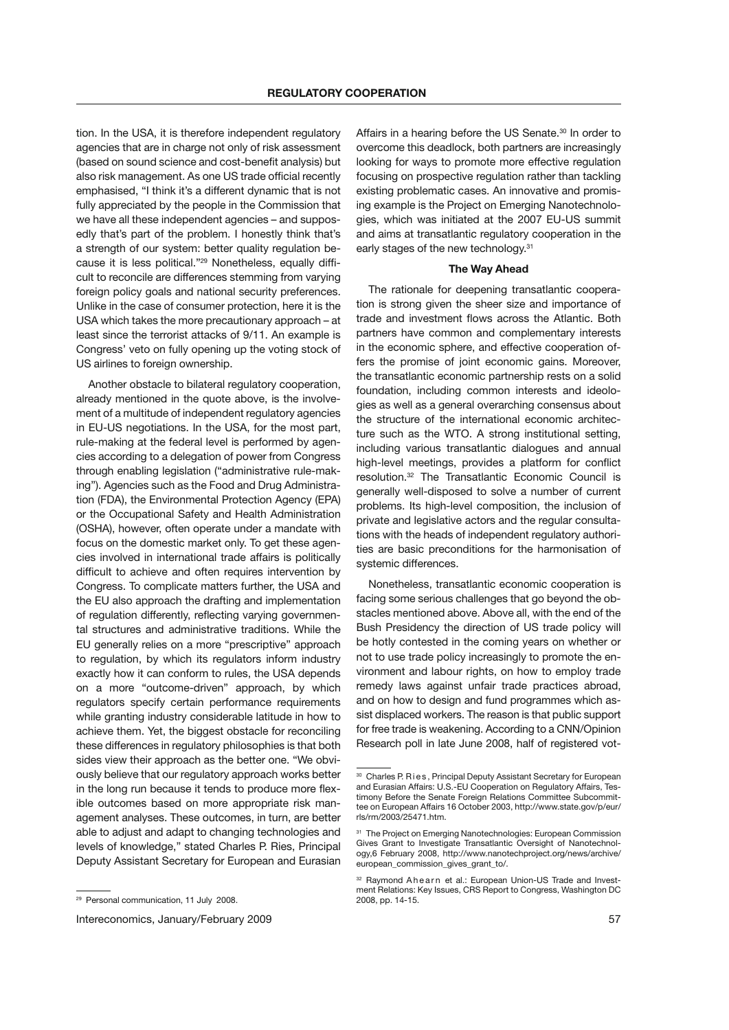tion. In the USA, it is therefore independent regulatory agencies that are in charge not only of risk assessment (based on sound science and cost-benefit analysis) but also risk management. As one US trade official recently emphasised, "I think it's a different dynamic that is not fully appreciated by the people in the Commission that we have all these independent agencies – and supposedly that's part of the problem. I honestly think that's a strength of our system: better quality regulation because it is less political."<sup>29</sup> Nonetheless, equally difficult to reconcile are differences stemming from varying foreign policy goals and national security preferences. Unlike in the case of consumer protection, here it is the USA which takes the more precautionary approach – at least since the terrorist attacks of 9/11. An example is Congress' veto on fully opening up the voting stock of US airlines to foreign ownership.

Another obstacle to bilateral regulatory cooperation, already mentioned in the quote above, is the involvement of a multitude of independent regulatory agencies in EU-US negotiations. In the USA, for the most part, rule-making at the federal level is performed by agencies according to a delegation of power from Congress through enabling legislation ("administrative rule-making"). Agencies such as the Food and Drug Administration (FDA), the Environmental Protection Agency (EPA) or the Occupational Safety and Health Administration (OSHA), however, often operate under a mandate with focus on the domestic market only. To get these agencies involved in international trade affairs is politically difficult to achieve and often requires intervention by Congress. To complicate matters further, the USA and the EU also approach the drafting and implementation of regulation differently, reflecting varying governmental structures and administrative traditions. While the EU generally relies on a more "prescriptive" approach to regulation, by which its regulators inform industry exactly how it can conform to rules, the USA depends on a more "outcome-driven" approach, by which regulators specify certain performance requirements while granting industry considerable latitude in how to achieve them. Yet, the biggest obstacle for reconciling these differences in regulatory philosophies is that both sides view their approach as the better one. "We obviously believe that our regulatory approach works better in the long run because it tends to produce more flexible outcomes based on more appropriate risk management analyses. These outcomes, in turn, are better able to adjust and adapt to changing technologies and levels of knowledge," stated Charles P. Ries, Principal Deputy Assistant Secretary for European and Eurasian Affairs in a hearing before the US Senate.<sup>30</sup> In order to overcome this deadlock, both partners are increasingly looking for ways to promote more effective regulation focusing on prospective regulation rather than tackling existing problematic cases. An innovative and promising example is the Project on Emerging Nanotechnologies, which was initiated at the 2007 EU-US summit and aims at transatlantic regulatory cooperation in the early stages of the new technology.<sup>31</sup>

#### **The Way Ahead**

The rationale for deepening transatlantic cooperation is strong given the sheer size and importance of trade and investment flows across the Atlantic. Both partners have common and complementary interests in the economic sphere, and effective cooperation offers the promise of joint economic gains. Moreover, the transatlantic economic partnership rests on a solid foundation, including common interests and ideologies as well as a general overarching consensus about the structure of the international economic architecture such as the WTO. A strong institutional setting, including various transatlantic dialogues and annual high-level meetings, provides a platform for conflict resolution.32 The Transatlantic Economic Council is generally well-disposed to solve a number of current problems. Its high-level composition, the inclusion of private and legislative actors and the regular consultations with the heads of independent regulatory authorities are basic preconditions for the harmonisation of systemic differences.

Nonetheless, transatlantic economic cooperation is facing some serious challenges that go beyond the obstacles mentioned above. Above all, with the end of the Bush Presidency the direction of US trade policy will be hotly contested in the coming years on whether or not to use trade policy increasingly to promote the environment and labour rights, on how to employ trade remedy laws against unfair trade practices abroad, and on how to design and fund programmes which assist displaced workers. The reason is that public support for free trade is weakening. According to a CNN/Opinion Research poll in late June 2008, half of registered vot-

<sup>&</sup>lt;sup>29</sup> Personal communication, 11 July 2008.

Intereconomics, January/February 2009

<sup>&</sup>lt;sup>30</sup> Charles P. Ries, Principal Deputy Assistant Secretary for European and Eurasian Affairs: U.S.-EU Cooperation on Regulatory Affairs, Testimony Before the Senate Foreign Relations Committee Subcommittee on European Affairs 16 October 2003, http://www.state.gov/p/eur/ rls/rm/2003/25471.htm.

<sup>&</sup>lt;sup>31</sup> The Project on Emerging Nanotechnologies: European Commission Gives Grant to Investigate Transatlantic Oversight of Nanotechnology,6 February 2008, http://www.nanotechproject.org/news/archive/ european\_commission\_gives\_grant\_to/.

 $32$  Raymond A h e a r n et al.: European Union-US Trade and Investment Relations: Key Issues, CRS Report to Congress, Washington DC 2008, pp. 14-15.